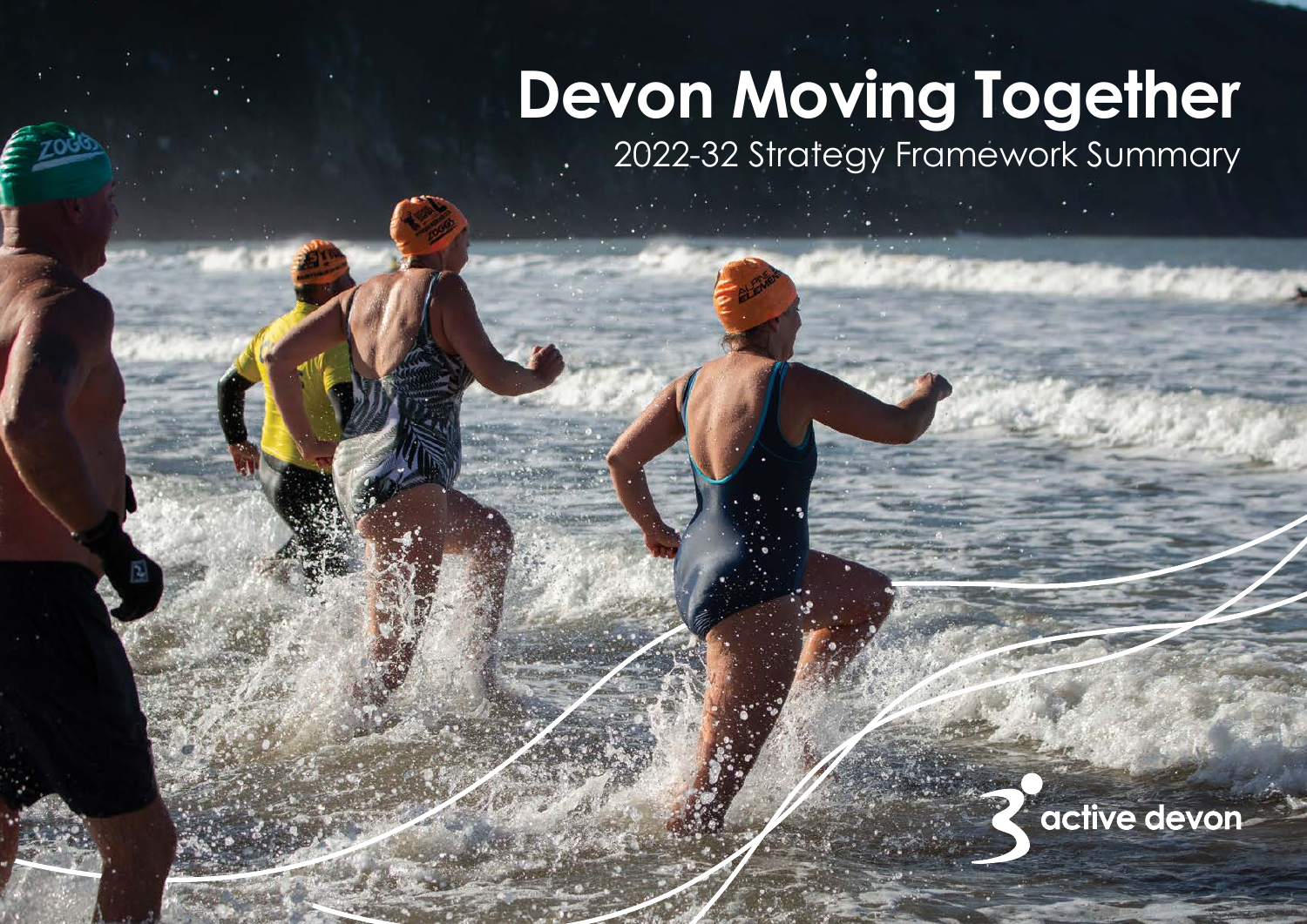# **Devon Moving Together**

2022-32 Strategy Framework Summary

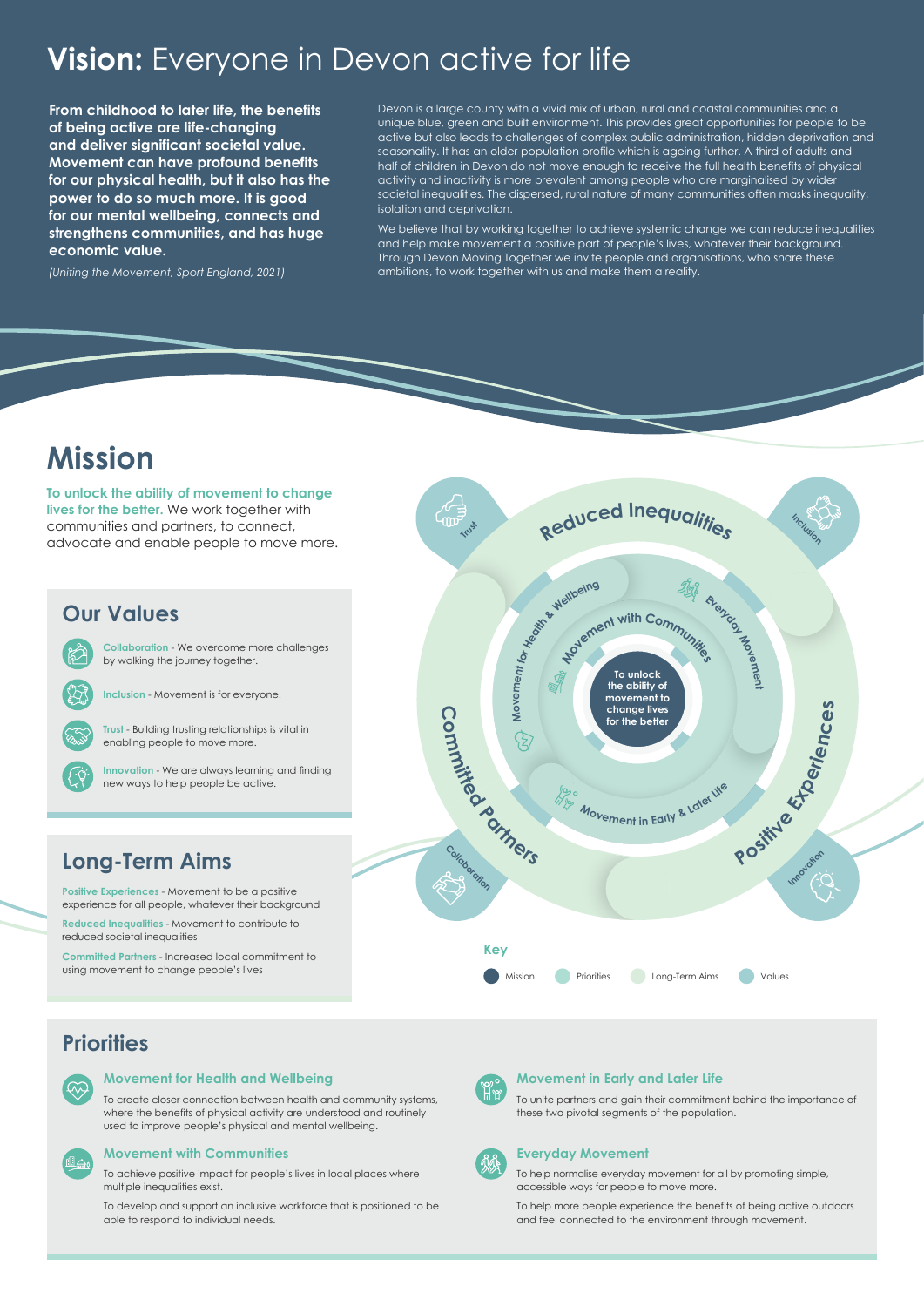

## **Vision:** Everyone in Devon active for life

## **Mission**

**To unlock the ability of movement to change lives for the better.** We work together with communities and partners, to connect, advocate and enable people to move more.

### **Priorities**



ila

#### **Movement for Health and Wellbeing**

To create closer connection between health and community systems, where the benefits of physical activity are understood and routinely used to improve people's physical and mental wellbeing.

#### **Movement with Communities**

To achieve positive impact for people's lives in local places where multiple inequalities exist.

To develop and support an inclusive workforce that is positioned to be able to respond to individual needs.



#### **Movement in Early and Later Life**

To unite partners and gain their commitment behind the importance of these two pivotal segments of the population.



#### **Everyday Movement**

To help normalise everyday movement for all by promoting simple, accessible ways for people to move more.

To help more people experience the benefits of being active outdoors and feel connected to the environment through movement.

## **Long-Term Aims**

**Positive Experiences** - Movement to be a positive experience for all people, whatever their background

**Reduced Inequalities** - Movement to contribute to reduced societal inequalities

**Committed Partners** - Increased local commitment to using movement to change people's lives

**From childhood to later life, the benefits of being active are life-changing and deliver significant societal value. Movement can have profound benefits for our physical health, but it also has the power to do so much more. It is good for our mental wellbeing, connects and strengthens communities, and has huge economic value.**

*[\(Uniting the Movement, Sport England, 2021](https://www.sportengland.org/why-were-here/uniting-the-movement))*

Devon is a large county with a vivid mix of urban, rural and coastal communities and a unique blue, green and built environment. This provides great opportunities for people to be active but also leads to challenges of complex public administration, hidden deprivation and seasonality. It has an older population profile which is ageing further. A third of adults and half of children in Devon do not move enough to receive the full health benefits of physical activity and inactivity is more prevalent among people who are marginalised by wider societal inequalities. The dispersed, rural nature of many communities often masks inequality, isolation and deprivation.

We believe that by working together to achieve systemic change we can reduce inequalities and help make movement a positive part of people's lives, whatever their background. Through Devon Moving Together we invite people and organisations, who share these ambitions, to work together with us and make them a reality.

## **Our Values**

**Inclusion** - Movement is for everyone.

**Innovation** - We are always learning and finding new ways to help people be active.

**Trust** - Building trusting relationships is vital in enabling people to move more.

**Collaboration** - We overcome more challenges by walking the journey together.